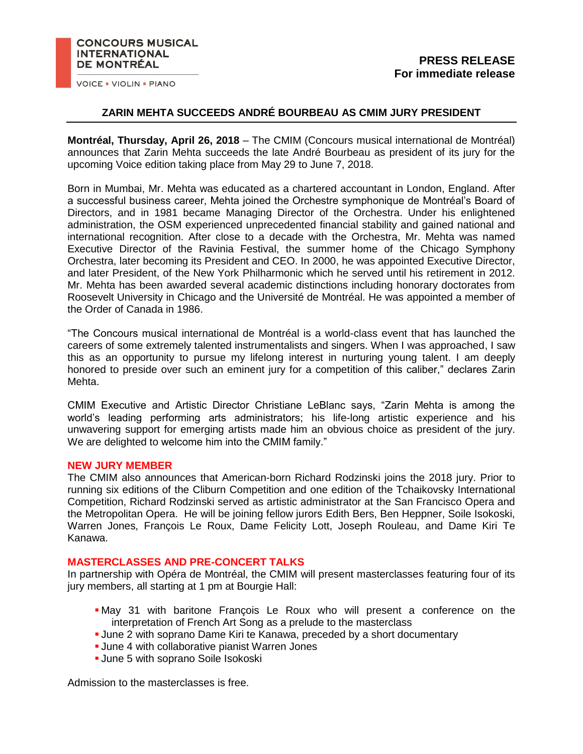### **CONCOURS MUSICAL INTERNATIONAL DE MONTRÉAL**

**VOICE . VIOLIN . PIANO** 

# **ZARIN MEHTA SUCCEEDS ANDRÉ BOURBEAU AS CMIM JURY PRESIDENT**

**Montréal, Thursday, April 26, 2018** – The CMIM (Concours musical international de Montréal) announces that Zarin Mehta succeeds the late André Bourbeau as president of its jury for the upcoming Voice edition taking place from May 29 to June 7, 2018.

Born in Mumbai, Mr. Mehta was educated as a chartered accountant in London, England. After a successful business career, Mehta joined the Orchestre symphonique de Montréal's Board of Directors, and in 1981 became Managing Director of the Orchestra. Under his enlightened administration, the OSM experienced unprecedented financial stability and gained national and international recognition. After close to a decade with the Orchestra, Mr. Mehta was named Executive Director of the Ravinia Festival, the summer home of the Chicago Symphony Orchestra, later becoming its President and CEO. In 2000, he was appointed Executive Director, and later President, of the New York Philharmonic which he served until his retirement in 2012. Mr. Mehta has been awarded several academic distinctions including honorary doctorates from Roosevelt University in Chicago and the Université de Montréal. He was appointed a member of the Order of Canada in 1986.

"The Concours musical international de Montréal is a world-class event that has launched the careers of some extremely talented instrumentalists and singers. When I was approached, I saw this as an opportunity to pursue my lifelong interest in nurturing young talent. I am deeply honored to preside over such an eminent jury for a competition of this caliber," declares Zarin Mehta.

CMIM Executive and Artistic Director Christiane LeBlanc says, "Zarin Mehta is among the world's leading performing arts administrators; his life-long artistic experience and his unwavering support for emerging artists made him an obvious choice as president of the jury. We are delighted to welcome him into the CMIM family."

### **NEW JURY MEMBER**

The CMIM also announces that American-born Richard Rodzinski joins the 2018 jury. Prior to running six editions of the Cliburn Competition and one edition of the Tchaikovsky International Competition, Richard Rodzinski served as artistic administrator at the San Francisco Opera and the Metropolitan Opera. He will be joining fellow jurors Edith Bers, Ben Heppner, Soile Isokoski, Warren Jones, François Le Roux, Dame Felicity Lott, Joseph Rouleau, and Dame Kiri Te Kanawa.

## **MASTERCLASSES AND PRE-CONCERT TALKS**

In partnership with Opéra de Montréal, the CMIM will present masterclasses featuring four of its jury members, all starting at 1 pm at Bourgie Hall:

- May 31 with baritone François Le Roux who will present a conference on the interpretation of French Art Song as a prelude to the masterclass
- June 2 with soprano Dame Kiri te Kanawa, preceded by a short documentary
- **June 4 with collaborative pianist Warren Jones**
- **June 5 with soprano Soile Isokoski**

Admission to the masterclasses is free.